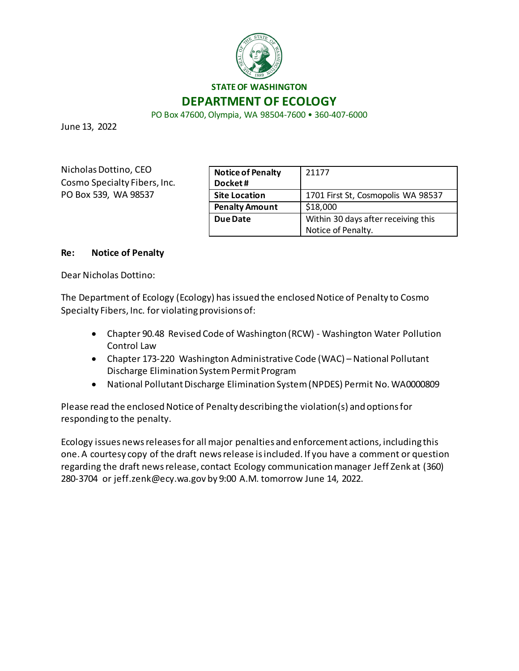

PO Box 47600, Olympia, WA 98504-7600 • 360-407-6000

June 13, 2022

Nicholas Dottino, CEO Cosmo Specialty Fibers, Inc. PO Box 539, WA 98537

| <b>Notice of Penalty</b><br>Docket# | 21177                                                     |
|-------------------------------------|-----------------------------------------------------------|
| <b>Site Location</b>                | 1701 First St, Cosmopolis WA 98537                        |
| <b>Penalty Amount</b>               | \$18,000                                                  |
| Due Date                            | Within 30 days after receiving this<br>Notice of Penalty. |
|                                     |                                                           |

#### **Re: Notice of Penalty**

Dear Nicholas Dottino:

The Department of Ecology (Ecology) has issued the enclosed Notice of Penalty to Cosmo Specialty Fibers, Inc. for violating provisions of:

- Chapter 90.48 Revised Code of Washington (RCW) Washington Water Pollution Control Law
- Chapter 173-220 Washington Administrative Code (WAC) National Pollutant Discharge Elimination System Permit Program
- National Pollutant Discharge Elimination System (NPDES) Permit No. WA0000809

Please read the enclosed Notice of Penalty describing the violation(s) and options for responding to the penalty.

Ecology issues news releases for all major penalties and enforcement actions, including this one. A courtesy copy of the draft news release is included. If you have a comment or question regarding the draft news release, contact Ecology communication manager Jeff Zenk at (360) 280-3704 or jeff.zenk@ecy.wa.gov by 9:00 A.M. tomorrow June 14, 2022.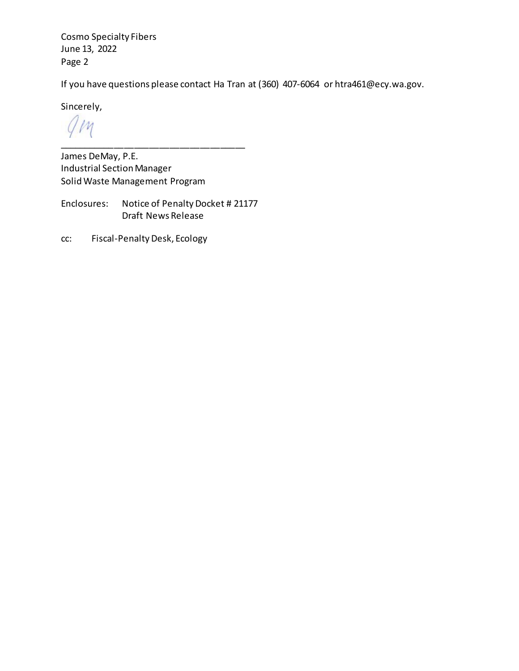Cosmo Specialty Fibers June 13, 2022 Page 2

If you have questions please contact Ha Tran at (360) 407-6064 or htra461@ecy.wa.gov.

Sincerely,

 $\nu$ \_\_\_\_\_\_\_\_\_\_\_\_\_\_\_\_\_\_\_\_\_\_\_\_\_\_\_\_\_\_\_\_\_\_\_\_\_

James DeMay, P.E. Industrial Section Manager Solid Waste Management Program

Enclosures: Notice of Penalty Docket # 21177 Draft News Release

cc: Fiscal-Penalty Desk, Ecology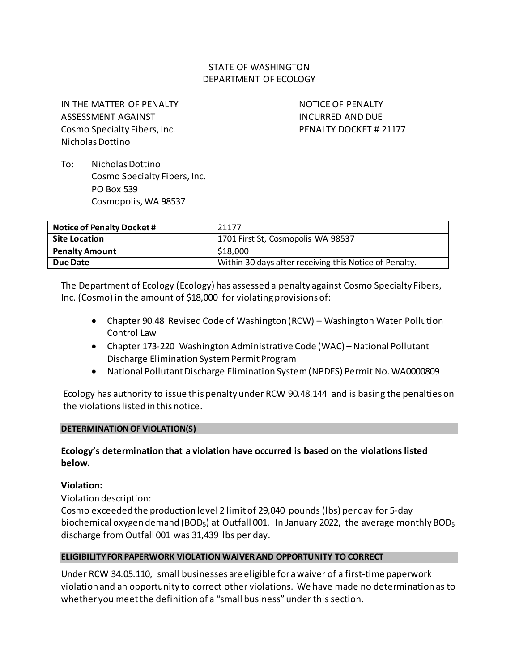# STATE OF WASHINGTON DEPARTMENT OF ECOLOGY

IN THE MATTER OF PENALTY ASSESSMENT AGAINST Cosmo Specialty Fibers, Inc. Nicholas Dottino

NOTICE OF PENALTY INCURRED AND DUE PENALTY DOCKET # 21177

To: Nicholas Dottino Cosmo Specialty Fibers, Inc. PO Box 539 Cosmopolis, WA 98537

| Notice of Penalty Docket # | 21177                                                  |  |
|----------------------------|--------------------------------------------------------|--|
| Site Location              | 1701 First St, Cosmopolis WA 98537                     |  |
| <b>Penalty Amount</b>      | \$18,000                                               |  |
| <b>Due Date</b>            | Within 30 days after receiving this Notice of Penalty. |  |

The Department of Ecology (Ecology) has assessed a penalty against Cosmo Specialty Fibers, Inc. (Cosmo) in the amount of \$18,000 for violating provisions of:

- Chapter 90.48 Revised Code of Washington (RCW) Washington Water Pollution Control Law
- Chapter 173-220 Washington Administrative Code (WAC) National Pollutant Discharge Elimination System Permit Program
- National Pollutant Discharge Elimination System (NPDES) Permit No. WA0000809

Ecology has authority to issue this penalty under RCW 90.48.144 and is basing the penalties on the violations listed in this notice.

### **DETERMINATION OF VIOLATION(S)**

# **Ecology's determination that a violation have occurred is based on the violations listed below.**

### **Violation:**

Violation description:

Cosmo exceeded the production level 2 limit of 29,040 pounds (lbs) per day for 5-day biochemical oxygen demand (BOD<sub>5</sub>) at Outfall 001. In January 2022, the average monthly BOD<sub>5</sub> discharge from Outfall 001 was 31,439 lbs per day.

### **ELIGIBILITY FOR PAPERWORK VIOLATION WAIVER AND OPPORTUNITY TO CORRECT**

Under RCW 34.05.110, small businesses are eligible for a waiver of a first-time paperwork violation and an opportunity to correct other violations. We have made no determination as to whether you meet the definition of a "small business" under this section.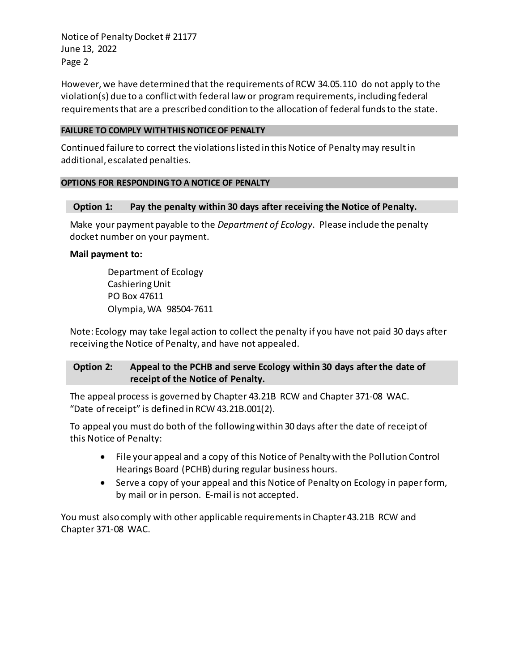Notice of Penalty Docket # 21177 June 13, 2022 Page 2

However, we have determined that the requirements of RCW 34.05.110 do not apply to the violation(s) due to a conflict with federal law or program requirements, including federal requirements that are a prescribed condition to the allocation of federal funds to the state.

#### **FAILURE TO COMPLY WITH THIS NOTICE OF PENALTY**

Continued failure to correct the violations listed in this Notice of Penalty may result in additional, escalated penalties.

### **OPTIONS FOR RESPONDING TO A NOTICE OF PENALTY**

### **Option 1: Pay the penalty within 30 days after receiving the Notice of Penalty.**

Make your payment payable to the *Department of Ecology*. Please include the penalty docket number on your payment.

### **Mail payment to:**

Department of Ecology Cashiering Unit PO Box 47611 Olympia, WA 98504-7611

Note: Ecology may take legal action to collect the penalty if you have not paid 30 days after receiving the Notice of Penalty, and have not appealed.

# **Option 2: Appeal to the PCHB and serve Ecology within 30 days after the date of receipt of the Notice of Penalty.**

The appeal process is governed by Chapter 43.21B RCW and Chapter 371-08 WAC. "Date of receipt" is defined in RCW 43.21B.001(2).

To appeal you must do both of the following within 30 days after the date of receipt of this Notice of Penalty:

- File your appeal and a copy of this Notice of Penalty with the Pollution Control Hearings Board (PCHB) during regular business hours.
- Serve a copy of your appeal and this Notice of Penalty on Ecology in paper form, by mail or in person. E-mail is not accepted.

You must also comply with other applicable requirements in Chapter 43.21B RCW and Chapter 371-08 WAC.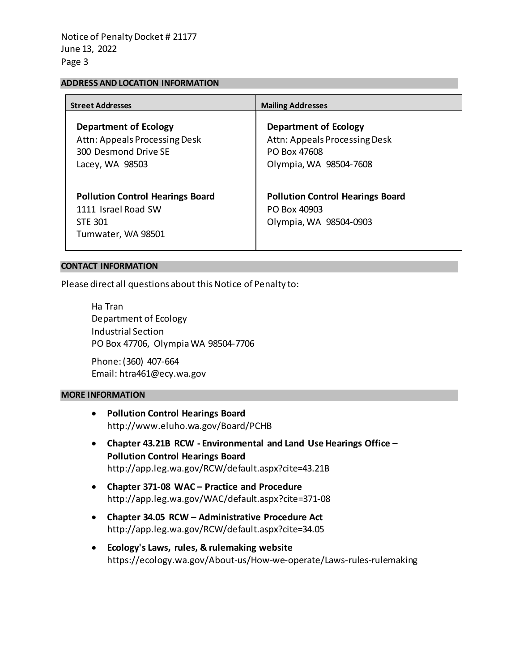#### **ADDRESS AND LOCATION INFORMATION**

| <b>Street Addresses</b>                                                                                  | <b>Mailing Addresses</b>                                                                                |
|----------------------------------------------------------------------------------------------------------|---------------------------------------------------------------------------------------------------------|
| <b>Department of Ecology</b><br>Attn: Appeals Processing Desk<br>300 Desmond Drive SE<br>Lacey, WA 98503 | <b>Department of Ecology</b><br>Attn: Appeals Processing Desk<br>PO Box 47608<br>Olympia, WA 98504-7608 |
| <b>Pollution Control Hearings Board</b><br>1111 Israel Road SW<br><b>STE 301</b><br>Tumwater, WA 98501   | <b>Pollution Control Hearings Board</b><br>PO Box 40903<br>Olympia, WA 98504-0903                       |

#### **CONTACT INFORMATION**

Please direct all questions about this Notice of Penalty to:

Ha Tran Department of Ecology Industrial Section PO Box 47706, Olympia WA 98504-7706

Phone: (360) 407-664 Email: htra461@ecy.wa.gov

#### **MORE INFORMATION**

- **Pollution Control Hearings Board** http://www.eluho.wa.gov/Board/PCHB
- **Chapter 43.21B RCW Environmental and Land Use Hearings Office – Pollution Control Hearings Board** http://app.leg.wa.gov/RCW/default.aspx?cite=43.21B
- **Chapter 371-08 WAC Practice and Procedure** http://app.leg.wa.gov/WAC/default.aspx?cite=371-08
- **Chapter 34.05 RCW Administrative Procedure Act** http://app.leg.wa.gov/RCW/default.aspx?cite=34.05
- **Ecology's Laws, rules, & rulemaking website** https://ecology.wa.gov/About-us/How-we-operate/Laws-rules-rulemaking